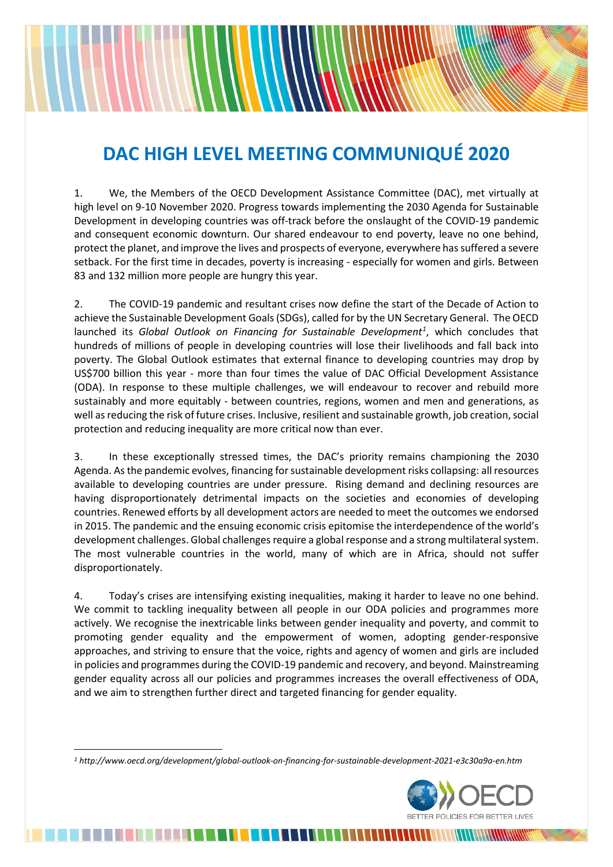# **DAC HIGH LEVEL MEETING COMMUNIQUÉ 2020**

1. We, the Members of the OECD Development Assistance Committee (DAC), met virtually at high level on 9-10 November 2020. Progress towards implementing the 2030 Agenda for Sustainable Development in developing countries was off-track before the onslaught of the COVID-19 pandemic and consequent economic downturn. Our shared endeavour to end poverty, leave no one behind, protect the planet, and improve the lives and prospects of everyone, everywhere has suffered a severe setback. For the first time in decades, poverty is increasing - especially for women and girls. Between 83 and 132 million more people are hungry this year.

2. The COVID-19 pandemic and resultant crises now define the start of the Decade of Action to achieve the Sustainable Development Goals (SDGs), called for by the UN Secretary General. The OECD launched its *Global Outlook on Financing for Sustainable Development[1](#page-0-0)* , which concludes that hundreds of millions of people in developing countries will lose their livelihoods and fall back into poverty. The Global Outlook estimates that external finance to developing countries may drop by US\$700 billion this year - more than four times the value of DAC Official Development Assistance (ODA). In response to these multiple challenges, we will endeavour to recover and rebuild more sustainably and more equitably - between countries, regions, women and men and generations, as well as reducing the risk of future crises. Inclusive, resilient and sustainable growth, job creation, social protection and reducing inequality are more critical now than ever.

3. In these exceptionally stressed times, the DAC's priority remains championing the 2030 Agenda. Asthe pandemic evolves, financing for sustainable development risks collapsing: all resources available to developing countries are under pressure. Rising demand and declining resources are having disproportionately detrimental impacts on the societies and economies of developing countries. Renewed efforts by all development actors are needed to meet the outcomes we endorsed in 2015. The pandemic and the ensuing economic crisis epitomise the interdependence of the world's development challenges. Global challenges require a global response and a strong multilateral system. The most vulnerable countries in the world, many of which are in Africa, should not suffer disproportionately.

4. Today's crises are intensifying existing inequalities, making it harder to leave no one behind. We commit to tackling inequality between all people in our ODA policies and programmes more actively. We recognise the inextricable links between gender inequality and poverty, and commit to promoting gender equality and the empowerment of women, adopting gender-responsive approaches, and striving to ensure that the voice, rights and agency of women and girls are included in policies and programmes during the COVID-19 pandemic and recovery, and beyond. Mainstreaming gender equality across all our policies and programmes increases the overall effectiveness of ODA, and we aim to strengthen further direct and targeted financing for gender equality.

EN EN EN EN EN EN ELEKTROLIKE IN DIE STANDE EN DIE STANDARD IN DIE STANDARD VAN DIE STANDARD OORDEN OOK DIE ST



<span id="page-0-0"></span>*<sup>1</sup> http://www.oecd.org/development/global-outlook-on-financing-for-sustainable-development-2021-e3c30a9a-en.htm*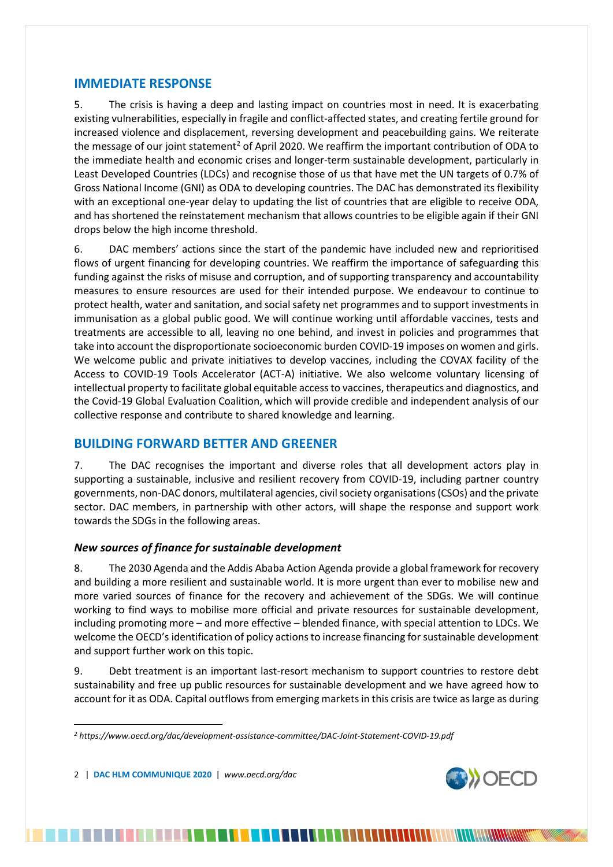## **IMMEDIATE RESPONSE**

5. The crisis is having a deep and lasting impact on countries most in need. It is exacerbating existing vulnerabilities, especially in fragile and conflict-affected states, and creating fertile ground for increased violence and displacement, reversing development and peacebuilding gains. We reiterate the message of our joint statement<sup>[2](#page-1-0)</sup> of April 2020. We reaffirm the important contribution of ODA to the immediate health and economic crises and longer-term sustainable development, particularly in Least Developed Countries (LDCs) and recognise those of us that have met the UN targets of 0.7% of Gross National Income (GNI) as ODA to developing countries. The DAC has demonstrated its flexibility with an exceptional one-year delay to updating the list of countries that are eligible to receive ODA, and has shortened the reinstatement mechanism that allows countries to be eligible again if their GNI drops below the high income threshold.

6. DAC members' actions since the start of the pandemic have included new and reprioritised flows of urgent financing for developing countries. We reaffirm the importance of safeguarding this funding against the risks of misuse and corruption, and of supporting transparency and accountability measures to ensure resources are used for their intended purpose. We endeavour to continue to protect health, water and sanitation, and social safety net programmes and to support investments in immunisation as a global public good. We will continue working until affordable vaccines, tests and treatments are accessible to all, leaving no one behind, and invest in policies and programmes that take into account the disproportionate socioeconomic burden COVID-19 imposes on women and girls. We welcome public and private initiatives to develop vaccines, including the COVAX facility of the Access to COVID-19 Tools Accelerator (ACT-A) initiative. We also welcome voluntary licensing of intellectual property to facilitate global equitable access to vaccines, therapeutics and diagnostics, and the Covid-19 Global Evaluation Coalition, which will provide credible and independent analysis of our collective response and contribute to shared knowledge and learning.

## **BUILDING FORWARD BETTER AND GREENER**

7. The DAC recognises the important and diverse roles that all development actors play in supporting a sustainable, inclusive and resilient recovery from COVID-19, including partner country governments, non-DAC donors, multilateral agencies, civil society organisations (CSOs) and the private sector. DAC members, in partnership with other actors, will shape the response and support work towards the SDGs in the following areas.

## *New sources of finance for sustainable development*

8. The 2030 Agenda and the Addis Ababa Action Agenda provide a global framework for recovery and building a more resilient and sustainable world. It is more urgent than ever to mobilise new and more varied sources of finance for the recovery and achievement of the SDGs. We will continue working to find ways to mobilise more official and private resources for sustainable development, including promoting more – and more effective – blended finance, with special attention to LDCs. We welcome the OECD's identification of policy actions to increase financing for sustainable development and support further work on this topic.

9. Debt treatment is an important last-resort mechanism to support countries to restore debt sustainability and free up public resources for sustainable development and we have agreed how to account for it as ODA. Capital outflows from emerging markets in this crisis are twice as large as during

2 | **DAC HLM COMMUNIQUE 2020** | *www.oecd.org/dac*

<u>.</u>



<span id="page-1-0"></span>*<sup>2</sup> https://www.oecd.org/dac/development-assistance-committee/DAC-Joint-Statement-COVID-19.pdf*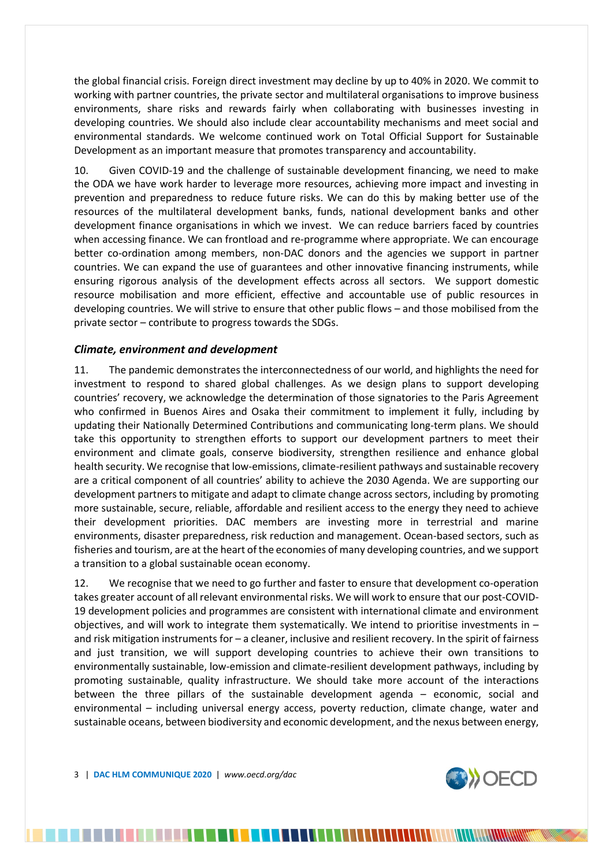the global financial crisis. Foreign direct investment may decline by up to 40% in 2020. We commit to working with partner countries, the private sector and multilateral organisations to improve business environments, share risks and rewards fairly when collaborating with businesses investing in developing countries. We should also include clear accountability mechanisms and meet social and environmental standards. We welcome continued work on Total Official Support for Sustainable Development as an important measure that promotes transparency and accountability.

10. Given COVID-19 and the challenge of sustainable development financing, we need to make the ODA we have work harder to leverage more resources, achieving more impact and investing in prevention and preparedness to reduce future risks. We can do this by making better use of the resources of the multilateral development banks, funds, national development banks and other development finance organisations in which we invest. We can reduce barriers faced by countries when accessing finance. We can frontload and re-programme where appropriate. We can encourage better co-ordination among members, non-DAC donors and the agencies we support in partner countries. We can expand the use of guarantees and other innovative financing instruments, while ensuring rigorous analysis of the development effects across all sectors. We support domestic resource mobilisation and more efficient, effective and accountable use of public resources in developing countries. We will strive to ensure that other public flows – and those mobilised from the private sector – contribute to progress towards the SDGs.

#### *Climate, environment and development*

11. The pandemic demonstrates the interconnectedness of our world, and highlights the need for investment to respond to shared global challenges. As we design plans to support developing countries' recovery, we acknowledge the determination of those signatories to the Paris Agreement who confirmed in Buenos Aires and Osaka their commitment to implement it fully, including by updating their Nationally Determined Contributions and communicating long-term plans. We should take this opportunity to strengthen efforts to support our development partners to meet their environment and climate goals, conserve biodiversity, strengthen resilience and enhance global health security. We recognise that low-emissions, climate-resilient pathways and sustainable recovery are a critical component of all countries' ability to achieve the 2030 Agenda. We are supporting our development partners to mitigate and adapt to climate change across sectors, including by promoting more sustainable, secure, reliable, affordable and resilient access to the energy they need to achieve their development priorities. DAC members are investing more in terrestrial and marine environments, disaster preparedness, risk reduction and management. Ocean-based sectors, such as fisheries and tourism, are at the heart of the economies of many developing countries, and we support a transition to a global sustainable ocean economy.

12. We recognise that we need to go further and faster to ensure that development co-operation takes greater account of all relevant environmental risks. We will work to ensure that our post-COVID-19 development policies and programmes are consistent with international climate and environment objectives, and will work to integrate them systematically. We intend to prioritise investments in  $$ and risk mitigation instruments for – a cleaner, inclusive and resilient recovery. In the spirit of fairness and just transition, we will support developing countries to achieve their own transitions to environmentally sustainable, low-emission and climate-resilient development pathways, including by promoting sustainable, quality infrastructure. We should take more account of the interactions between the three pillars of the sustainable development agenda – economic, social and environmental – including universal energy access, poverty reduction, climate change, water and sustainable oceans, between biodiversity and economic development, and the nexus between energy,

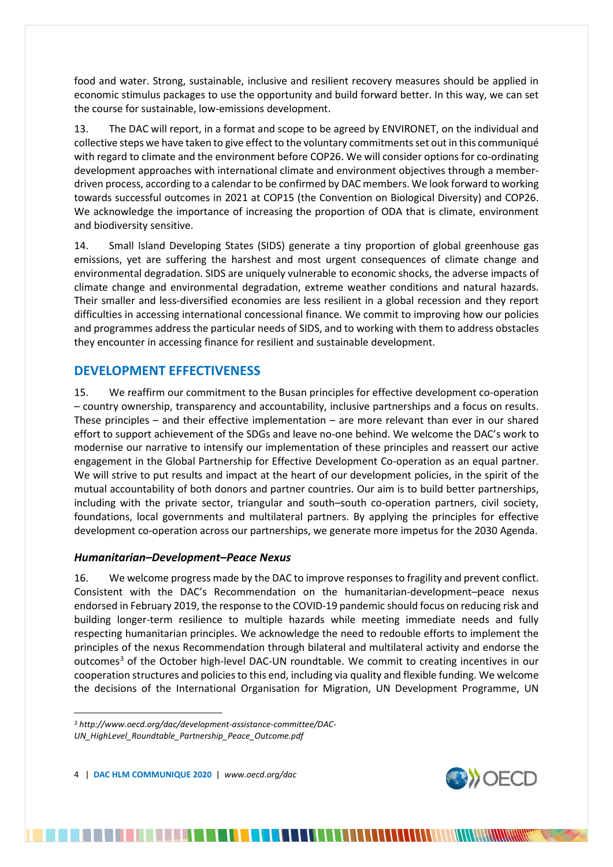food and water. Strong, sustainable, inclusive and resilient recovery measures should be applied in economic stimulus packages to use the opportunity and build forward better. In this way, we can set the course for sustainable, low-emissions development.

13. The DAC will report, in a format and scope to be agreed by ENVIRONET, on the individual and collective steps we have taken to give effect to the voluntary commitments set out in this communiqué with regard to climate and the environment before COP26. We will consider options for co-ordinating development approaches with international climate and environment objectives through a memberdriven process, according to a calendar to be confirmed by DAC members. We look forward to working towards successful outcomes in 2021 at COP15 (the Convention on Biological Diversity) and COP26. We acknowledge the importance of increasing the proportion of ODA that is climate, environment and biodiversity sensitive.

14. Small Island Developing States (SIDS) generate a tiny proportion of global greenhouse gas emissions, yet are suffering the harshest and most urgent consequences of climate change and environmental degradation. SIDS are uniquely vulnerable to economic shocks, the adverse impacts of climate change and environmental degradation, extreme weather conditions and natural hazards. Their smaller and less-diversified economies are less resilient in a global recession and they report difficulties in accessing international concessional finance. We commit to improving how our policies and programmes address the particular needs of SIDS, and to working with them to address obstacles they encounter in accessing finance for resilient and sustainable development.

## **DEVELOPMENT EFFECTIVENESS**

15. We reaffirm our commitment to the Busan principles for effective development co-operation – country ownership, transparency and accountability, inclusive partnerships and a focus on results. These principles – and their effective implementation – are more relevant than ever in our shared effort to support achievement of the SDGs and leave no-one behind. We welcome the DAC's work to modernise our narrative to intensify our implementation of these principles and reassert our active engagement in the Global Partnership for Effective Development Co-operation as an equal partner. We will strive to put results and impact at the heart of our development policies, in the spirit of the mutual accountability of both donors and partner countries. Our aim is to build better partnerships, including with the private sector, triangular and south–south co-operation partners, civil society, foundations, local governments and multilateral partners. By applying the principles for effective development co-operation across our partnerships, we generate more impetus for the 2030 Agenda.

#### *Humanitarian–Development–Peace Nexus*

16. We welcome progress made by the DAC to improve responses to fragility and prevent conflict. Consistent with the DAC's Recommendation on the humanitarian-development–peace nexus endorsed in February 2019, the response to the COVID-19 pandemic should focus on reducing risk and building longer-term resilience to multiple hazards while meeting immediate needs and fully respecting humanitarian principles. We acknowledge the need to redouble efforts to implement the principles of the nexus Recommendation through bilateral and multilateral activity and endorse the outcomes<sup>[3](#page-3-0)</sup> of the October high-level DAC-UN roundtable. We commit to creating incentives in our cooperation structures and policies to this end, including via quality and flexible funding. We welcome the decisions of the International Organisation for Migration, UN Development Programme, UN

4 | **DAC HLM COMMUNIQUE 2020** | *www.oecd.org/dac*

 $\overline{a}$ 



<span id="page-3-0"></span>*<sup>3</sup> http://www.oecd.org/dac/development-assistance-committee/DAC-UN\_HighLevel\_Roundtable\_Partnership\_Peace\_Outcome.pdf*